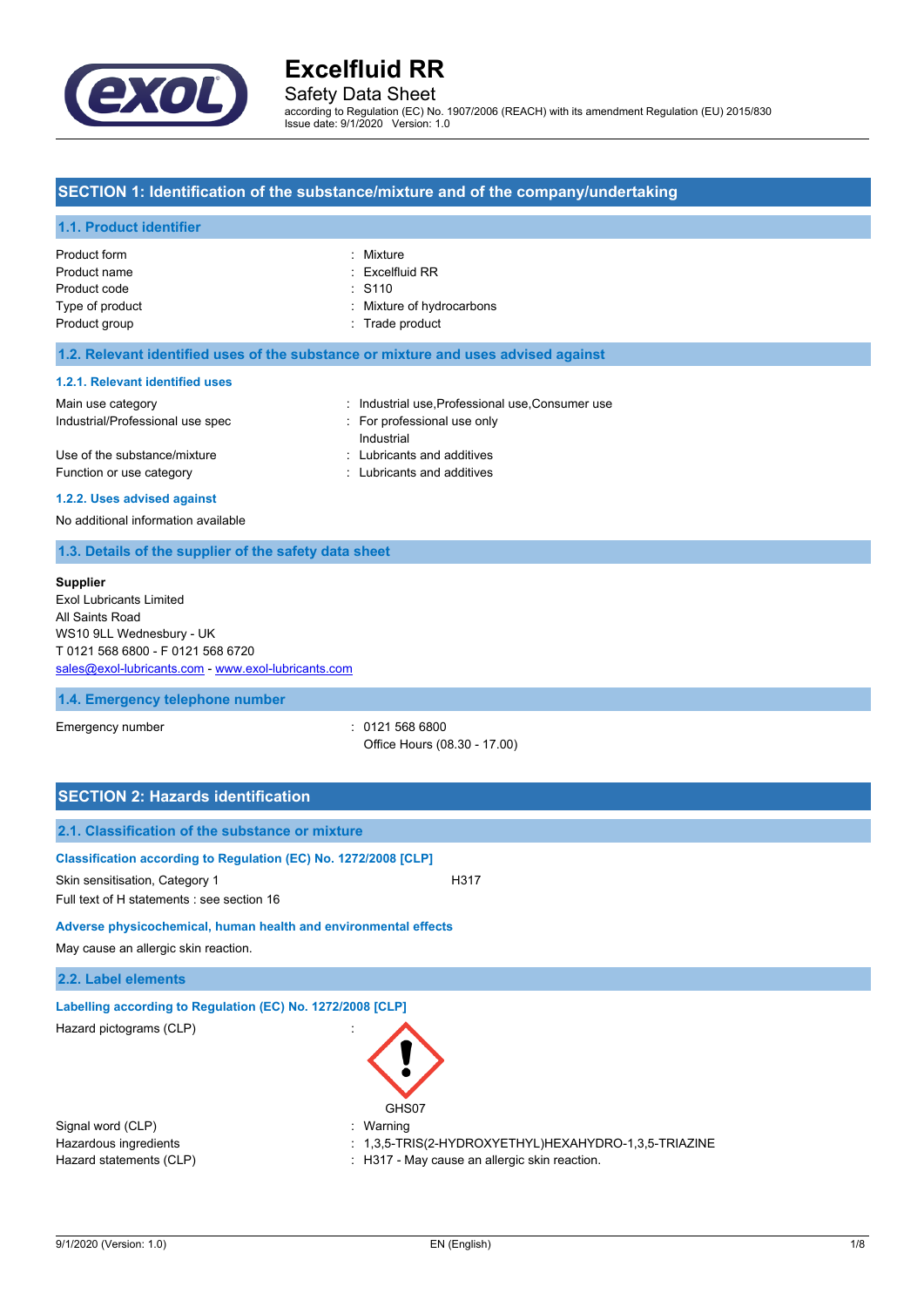

# Safety Data Sheet

according to Regulation (EC) No. 1907/2006 (REACH) with its amendment Regulation (EU) 2015/830 Issue date: 9/1/2020 Version: 1.0

## **SECTION 1: Identification of the substance/mixture and of the company/undertaking**

#### **1.1. Product identifier**

| Product form    | : Mixture                 |
|-----------------|---------------------------|
| Product name    | $:$ Excelfluid RR         |
| Product code    | $\therefore$ S110         |
| Type of product | : Mixture of hydrocarbons |
| Product group   | : Trade product           |
|                 |                           |

#### **1.2. Relevant identified uses of the substance or mixture and uses advised against**

#### **1.2.1. Relevant identified uses**

| Main use category                |                           | : Industrial use, Professional use, Consumer use |
|----------------------------------|---------------------------|--------------------------------------------------|
| Industrial/Professional use spec | For professional use only |                                                  |
|                                  |                           | Industrial                                       |
| Use of the substance/mixture     |                           | : Lubricants and additives                       |
| Function or use category         |                           | : Lubricants and additives                       |
|                                  |                           |                                                  |

#### **1.2.2. Uses advised against**

No additional information available

## **1.3. Details of the supplier of the safety data sheet**

#### **Supplier**

Exol Lubricants Limited All Saints Road WS10 9LL Wednesbury - UK T 0121 568 6800 - F 0121 568 6720 [sales@exol-lubricants.com](mailto:sales@exol-lubricants.com) - <www.exol-lubricants.com>

#### **1.4. Emergency telephone number**

Emergency number : 0121 568 6800 Office Hours (08.30 - 17.00)

| <b>SECTION 2: Hazards identification</b>                                                                                                        |                                                                                                                     |  |  |
|-------------------------------------------------------------------------------------------------------------------------------------------------|---------------------------------------------------------------------------------------------------------------------|--|--|
| 2.1. Classification of the substance or mixture                                                                                                 |                                                                                                                     |  |  |
| Classification according to Regulation (EC) No. 1272/2008 [CLP]<br>Skin sensitisation, Category 1<br>Full text of H statements : see section 16 | H317                                                                                                                |  |  |
| Adverse physicochemical, human health and environmental effects<br>May cause an allergic skin reaction.                                         |                                                                                                                     |  |  |
| 2.2. Label elements                                                                                                                             |                                                                                                                     |  |  |
| Labelling according to Regulation (EC) No. 1272/2008 [CLP]<br>Hazard pictograms (CLP)                                                           | GHS07                                                                                                               |  |  |
| Signal word (CLP)<br>Hazardous ingredients<br>Hazard statements (CLP)                                                                           | : Warning<br>$: 1,3,5$ -TRIS(2-HYDROXYETHYL)HEXAHYDRO-1,3,5-TRIAZINE<br>H317 - May cause an allergic skin reaction. |  |  |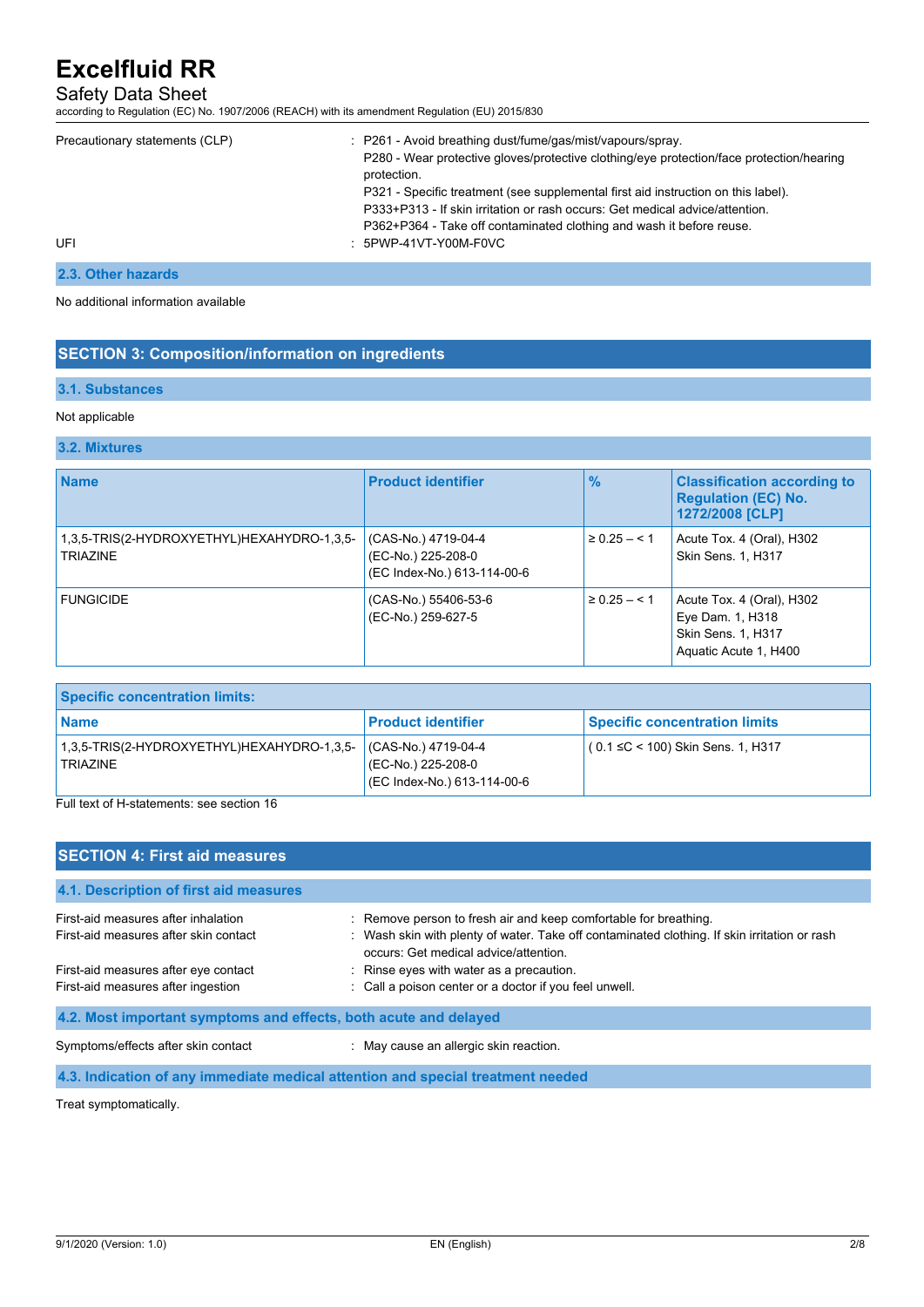# Safety Data Sheet

according to Regulation (EC) No. 1907/2006 (REACH) with its amendment Regulation (EU) 2015/830

| Precautionary statements (CLP) | : P261 - Avoid breathing dust/fume/gas/mist/vapours/spray.<br>P280 - Wear protective gloves/protective clothing/eye protection/face protection/hearing<br>protection.<br>P321 - Specific treatment (see supplemental first aid instruction on this label).<br>P333+P313 - If skin irritation or rash occurs: Get medical advice/attention.<br>P362+P364 - Take off contaminated clothing and wash it before reuse. |
|--------------------------------|--------------------------------------------------------------------------------------------------------------------------------------------------------------------------------------------------------------------------------------------------------------------------------------------------------------------------------------------------------------------------------------------------------------------|
| UFI                            | : 5PWP-41VT-Y00M-F0VC                                                                                                                                                                                                                                                                                                                                                                                              |

# **2.3. Other hazards**

No additional information available

## **SECTION 3: Composition/information on ingredients**

#### **3.1. Substances**

#### Not applicable

#### **3.2. Mixtures**

| <b>Name</b>                                                   | <b>Product identifier</b>                                                | $\frac{9}{6}$      | <b>Classification according to</b><br><b>Regulation (EC) No.</b><br>1272/2008 [CLP]                 |
|---------------------------------------------------------------|--------------------------------------------------------------------------|--------------------|-----------------------------------------------------------------------------------------------------|
| 1,3,5-TRIS(2-HYDROXYETHYL)HEXAHYDRO-1,3,5-<br><b>TRIAZINE</b> | (CAS-No.) 4719-04-4<br>(EC-No.) 225-208-0<br>(EC Index-No.) 613-114-00-6 | $1 \ge 0.25 - 5.1$ | Acute Tox. 4 (Oral), H302<br><b>Skin Sens. 1, H317</b>                                              |
| <b>FUNGICIDE</b>                                              | (CAS-No.) 55406-53-6<br>(EC-No.) 259-627-5                               | $\geq 0.25 - 5.1$  | Acute Tox. 4 (Oral), H302<br>Eye Dam. 1, H318<br><b>Skin Sens. 1, H317</b><br>Aquatic Acute 1, H400 |

| <b>Specific concentration limits:</b>                         |                                                                          |                                      |  |
|---------------------------------------------------------------|--------------------------------------------------------------------------|--------------------------------------|--|
| <b>Name</b>                                                   | <b>Product identifier</b>                                                | <b>Specific concentration limits</b> |  |
| 1,3,5-TRIS(2-HYDROXYETHYL)HEXAHYDRO-1,3,5-<br><b>TRIAZINE</b> | (CAS-No.) 4719-04-4<br>(EC-No.) 225-208-0<br>(EC Index-No.) 613-114-00-6 | $(0.1 ≤ C < 100)$ Skin Sens. 1, H317 |  |

Full text of H-statements: see section 16

| <b>SECTION 4: First aid measures</b>                             |                                                                                                                                       |  |  |
|------------------------------------------------------------------|---------------------------------------------------------------------------------------------------------------------------------------|--|--|
| 4.1. Description of first aid measures                           |                                                                                                                                       |  |  |
| First-aid measures after inhalation                              | : Remove person to fresh air and keep comfortable for breathing.                                                                      |  |  |
| First-aid measures after skin contact                            | : Wash skin with plenty of water. Take off contaminated clothing. If skin irritation or rash<br>occurs: Get medical advice/attention. |  |  |
| First-aid measures after eye contact                             | : Rinse eyes with water as a precaution.                                                                                              |  |  |
| First-aid measures after ingestion                               | : Call a poison center or a doctor if you feel unwell.                                                                                |  |  |
| 4.2. Most important symptoms and effects, both acute and delayed |                                                                                                                                       |  |  |
| Symptoms/effects after skin contact                              | : May cause an allergic skin reaction.                                                                                                |  |  |
| $\sim$ $\sim$ $\sim$ $\sim$                                      |                                                                                                                                       |  |  |

**4.3. Indication of any immediate medical attention and special treatment needed**

Treat symptomatically.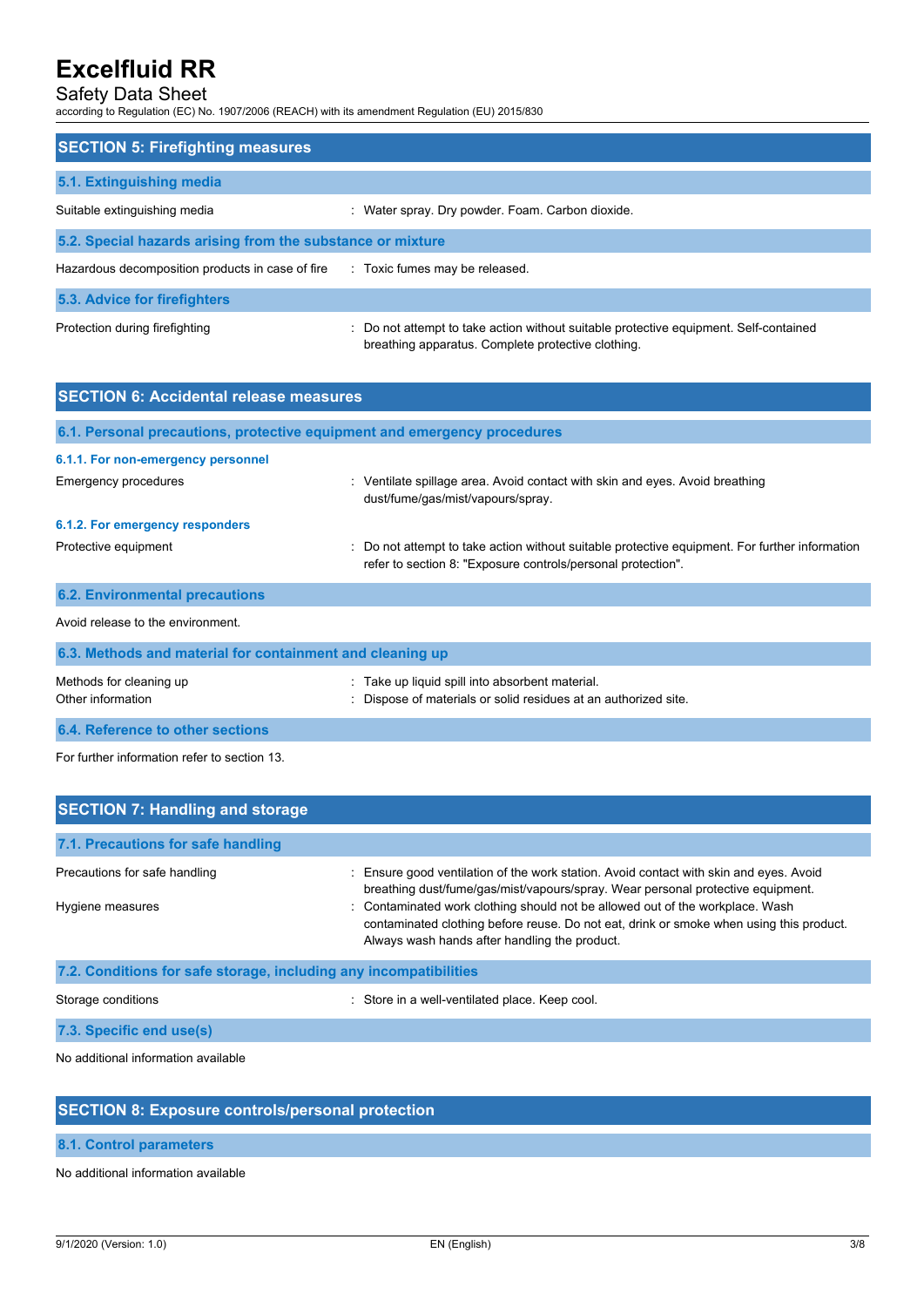# Safety Data Sheet

according to Regulation (EC) No. 1907/2006 (REACH) with its amendment Regulation (EU) 2015/830

| <b>SECTION 5: Firefighting measures</b>                    |                                                                                                                                             |  |  |
|------------------------------------------------------------|---------------------------------------------------------------------------------------------------------------------------------------------|--|--|
| 5.1. Extinguishing media                                   |                                                                                                                                             |  |  |
| Suitable extinguishing media                               | : Water spray. Dry powder. Foam. Carbon dioxide.                                                                                            |  |  |
| 5.2. Special hazards arising from the substance or mixture |                                                                                                                                             |  |  |
| Hazardous decomposition products in case of fire           | : Toxic fumes may be released.                                                                                                              |  |  |
| 5.3. Advice for firefighters                               |                                                                                                                                             |  |  |
| Protection during firefighting                             | : Do not attempt to take action without suitable protective equipment. Self-contained<br>breathing apparatus. Complete protective clothing. |  |  |

| <b>SECTION 6: Accidental release measures</b>             |                                                                                                                                                                |  |
|-----------------------------------------------------------|----------------------------------------------------------------------------------------------------------------------------------------------------------------|--|
|                                                           | 6.1. Personal precautions, protective equipment and emergency procedures                                                                                       |  |
| 6.1.1. For non-emergency personnel                        |                                                                                                                                                                |  |
| <b>Emergency procedures</b>                               | : Ventilate spillage area. Avoid contact with skin and eyes. Avoid breathing<br>dust/fume/gas/mist/vapours/spray.                                              |  |
| 6.1.2. For emergency responders                           |                                                                                                                                                                |  |
| Protective equipment                                      | : Do not attempt to take action without suitable protective equipment. For further information<br>refer to section 8: "Exposure controls/personal protection". |  |
| <b>6.2. Environmental precautions</b>                     |                                                                                                                                                                |  |
| Avoid release to the environment.                         |                                                                                                                                                                |  |
| 6.3. Methods and material for containment and cleaning up |                                                                                                                                                                |  |
| Methods for cleaning up<br>Other information              | : Take up liquid spill into absorbent material.<br>: Dispose of materials or solid residues at an authorized site.                                             |  |
| 6.4. Reference to other sections                          |                                                                                                                                                                |  |

For further information refer to section 13.

| <b>SECTION 7: Handling and storage</b>                            |                                                                                                                                                                                                                           |  |  |
|-------------------------------------------------------------------|---------------------------------------------------------------------------------------------------------------------------------------------------------------------------------------------------------------------------|--|--|
| 7.1. Precautions for safe handling                                |                                                                                                                                                                                                                           |  |  |
| Precautions for safe handling                                     | Ensure good ventilation of the work station. Avoid contact with skin and eyes. Avoid<br>breathing dust/fume/gas/mist/vapours/spray. Wear personal protective equipment.                                                   |  |  |
| Hygiene measures                                                  | : Contaminated work clothing should not be allowed out of the workplace. Wash<br>contaminated clothing before reuse. Do not eat, drink or smoke when using this product.<br>Always wash hands after handling the product. |  |  |
| 7.2. Conditions for safe storage, including any incompatibilities |                                                                                                                                                                                                                           |  |  |
| Storage conditions                                                | Store in a well-ventilated place. Keep cool.                                                                                                                                                                              |  |  |

**7.3. Specific end use(s)**

No additional information available

# **SECTION 8: Exposure controls/personal protection**

# **8.1. Control parameters**

No additional information available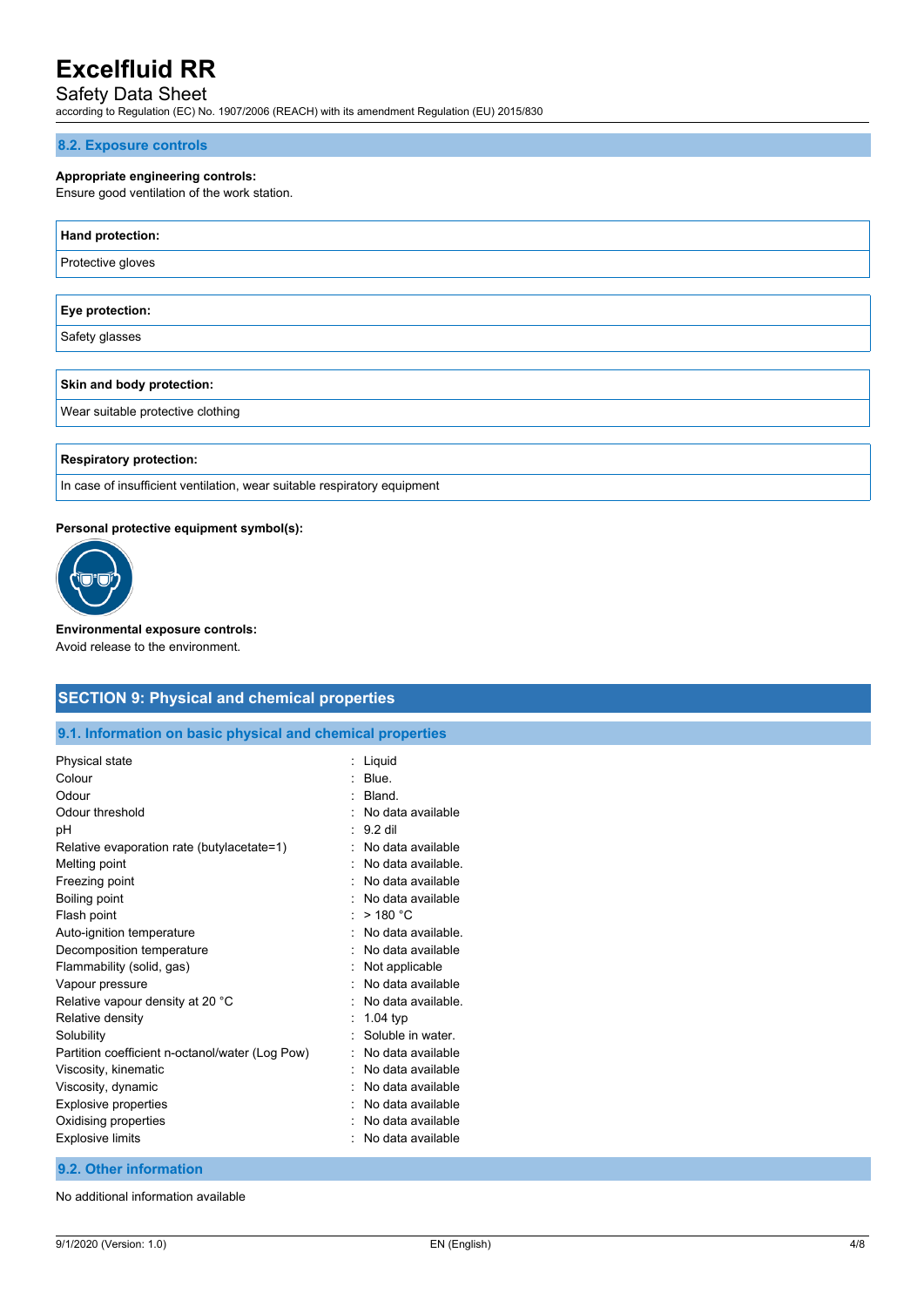# Safety Data Sheet

according to Regulation (EC) No. 1907/2006 (REACH) with its amendment Regulation (EU) 2015/830

#### **8.2. Exposure controls**

## **Appropriate engineering controls:**

Ensure good ventilation of the work station.

| Hand protection:                  |
|-----------------------------------|
| Protective gloves                 |
|                                   |
| Eye protection:                   |
| Safety glasses                    |
|                                   |
| Skin and body protection:         |
| Wear suitable protective clothing |
|                                   |

**Respiratory protection:**

In case of insufficient ventilation, wear suitable respiratory equipment

#### **Personal protective equipment symbol(s):**



**Environmental exposure controls:** Avoid release to the environment.

# **SECTION 9: Physical and chemical properties**

**9.1. Information on basic physical and chemical properties**

| Physical state                                  | Liquid             |
|-------------------------------------------------|--------------------|
| Colour                                          | Blue.              |
| Odour                                           | Bland.             |
| Odour threshold                                 | No data available  |
| рH                                              | 9.2 dil            |
| Relative evaporation rate (butylacetate=1)      | No data available  |
| Melting point                                   | No data available. |
| Freezing point                                  | No data available  |
| Boiling point                                   | No data available  |
| Flash point                                     | >180 °C            |
| Auto-ignition temperature                       | No data available. |
| Decomposition temperature                       | No data available  |
| Flammability (solid, gas)                       | Not applicable     |
| Vapour pressure                                 | No data available  |
| Relative vapour density at 20 °C                | No data available. |
| Relative density                                | $1.04$ typ         |
| Solubility                                      | Soluble in water   |
| Partition coefficient n-octanol/water (Log Pow) | No data available  |
| Viscosity, kinematic                            | No data available  |
| Viscosity, dynamic                              | No data available  |
| Explosive properties                            | No data available  |
| Oxidising properties                            | No data available  |
| <b>Explosive limits</b>                         | No data available  |
|                                                 |                    |

## **9.2. Other information**

No additional information available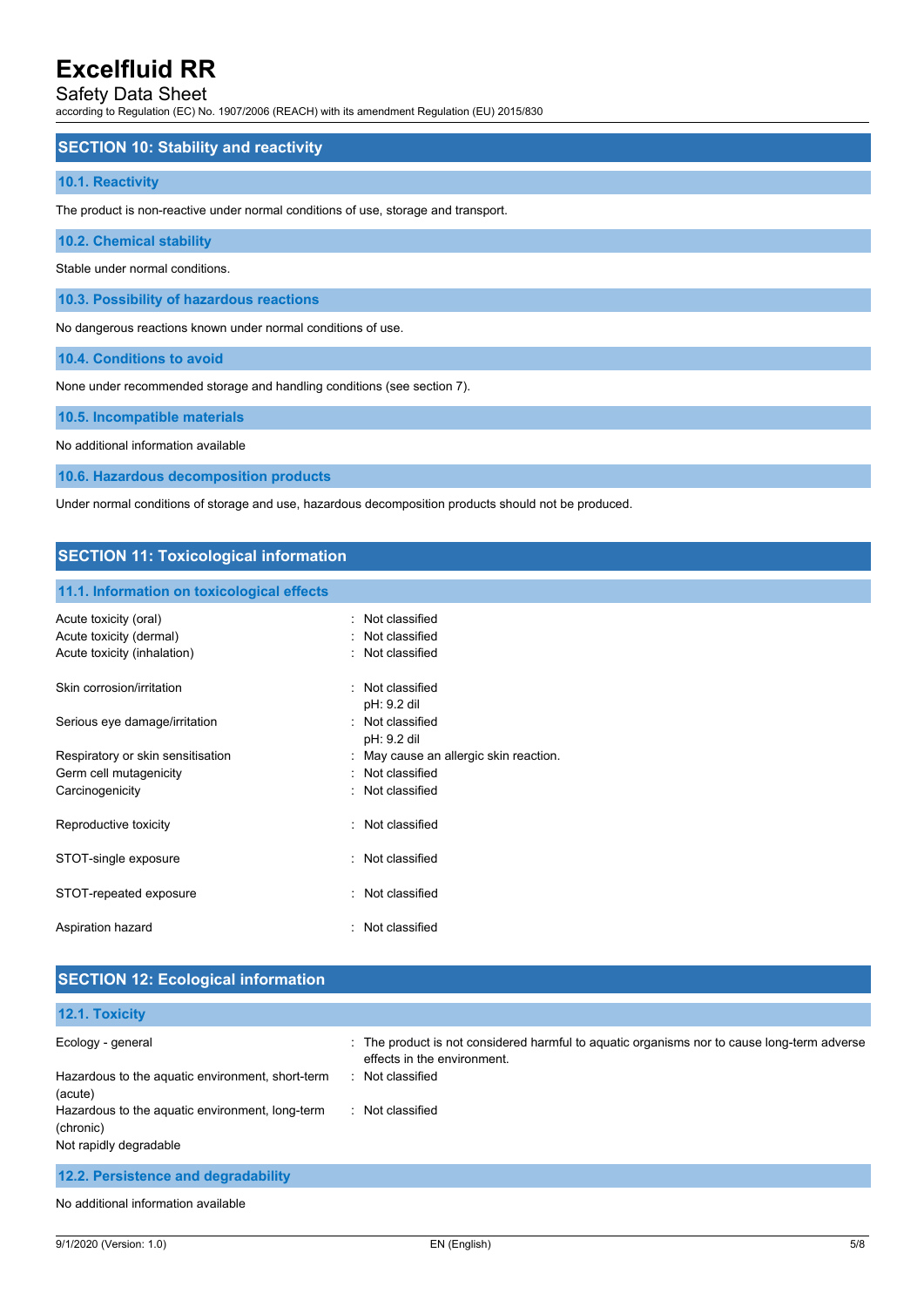# Safety Data Sheet

according to Regulation (EC) No. 1907/2006 (REACH) with its amendment Regulation (EU) 2015/830

### **SECTION 10: Stability and reactivity**

#### **10.1. Reactivity**

The product is non-reactive under normal conditions of use, storage and transport.

**10.2. Chemical stability**

Stable under normal conditions.

**10.3. Possibility of hazardous reactions**

No dangerous reactions known under normal conditions of use.

**10.4. Conditions to avoid**

None under recommended storage and handling conditions (see section 7).

**10.5. Incompatible materials**

No additional information available

**10.6. Hazardous decomposition products**

Under normal conditions of storage and use, hazardous decomposition products should not be produced.

#### **SECTION 11: Toxicological information**

#### **11.1. Information on toxicological effects**

| Acute toxicity (oral)<br>Acute toxicity (dermal)<br>Acute toxicity (inhalation) | : Not classified<br>: Not classified<br>: Not classified |
|---------------------------------------------------------------------------------|----------------------------------------------------------|
| Skin corrosion/irritation                                                       | : Not classified<br>pH: 9.2 dil                          |
| Serious eye damage/irritation                                                   | Not classified<br>pH: 9.2 dil                            |
| Respiratory or skin sensitisation                                               | May cause an allergic skin reaction.                     |
| Germ cell mutagenicity                                                          | : Not classified                                         |
| Carcinogenicity                                                                 | : Not classified                                         |
| Reproductive toxicity                                                           | : Not classified                                         |
| STOT-single exposure                                                            | : Not classified                                         |
| STOT-repeated exposure                                                          | : Not classified                                         |
| Aspiration hazard                                                               | : Not classified                                         |

## **SECTION 12: Ecological information**

| 12.1. Toxicity                                               |                                                                                                                            |
|--------------------------------------------------------------|----------------------------------------------------------------------------------------------------------------------------|
| Ecology - general                                            | : The product is not considered harmful to aquatic organisms nor to cause long-term adverse<br>effects in the environment. |
| Hazardous to the aquatic environment, short-term<br>(acute)  | : Not classified                                                                                                           |
| Hazardous to the aquatic environment, long-term<br>(chronic) | : Not classified                                                                                                           |
| Not rapidly degradable                                       |                                                                                                                            |
| 12.2. Persistence and degradability                          |                                                                                                                            |

No additional information available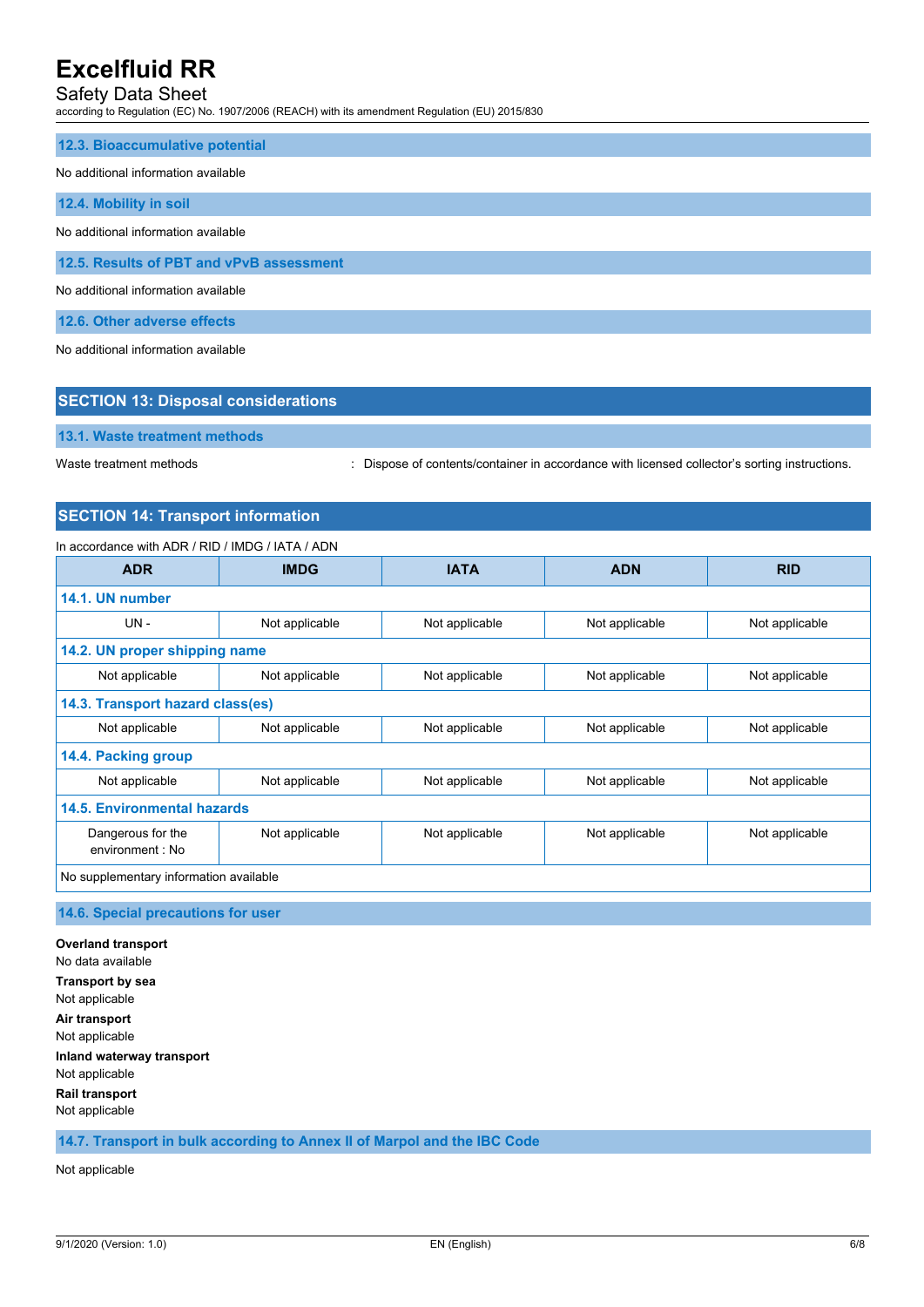# Safety Data Sheet

according to Regulation (EC) No. 1907/2006 (REACH) with its amendment Regulation (EU) 2015/830

#### **12.3. Bioaccumulative potential**

#### No additional information available

**12.4. Mobility in soil**

No additional information available

**12.5. Results of PBT and vPvB assessment**

No additional information available

**12.6. Other adverse effects**

No additional information available

# **SECTION 13: Disposal considerations 13.1. Waste treatment methods**

Waste treatment methods : Dispose of contents/container in accordance with licensed collector's sorting instructions.

## **SECTION 14: Transport information**

#### In accordance with ADR / RID / IMDG / IATA / ADN

| <b>ADR</b>                             | <b>IMDG</b>    | <b>IATA</b>    | <b>ADN</b>     | <b>RID</b>     |
|----------------------------------------|----------------|----------------|----------------|----------------|
| 14.1. UN number                        |                |                |                |                |
| UN-                                    | Not applicable | Not applicable | Not applicable | Not applicable |
| 14.2. UN proper shipping name          |                |                |                |                |
| Not applicable                         | Not applicable | Not applicable | Not applicable | Not applicable |
| 14.3. Transport hazard class(es)       |                |                |                |                |
| Not applicable                         | Not applicable | Not applicable | Not applicable | Not applicable |
| 14.4. Packing group                    |                |                |                |                |
| Not applicable                         | Not applicable | Not applicable | Not applicable | Not applicable |
| 14.5. Environmental hazards            |                |                |                |                |
| Dangerous for the<br>environment : No  | Not applicable | Not applicable | Not applicable | Not applicable |
| No supplementary information available |                |                |                |                |

#### **14.6. Special precautions for user**

**Overland transport** No data available **Transport by sea** Not applicable **Air transport** Not applicable **Inland waterway transport** Not applicable **Rail transport** Not applicable

**14.7. Transport in bulk according to Annex II of Marpol and the IBC Code**

Not applicable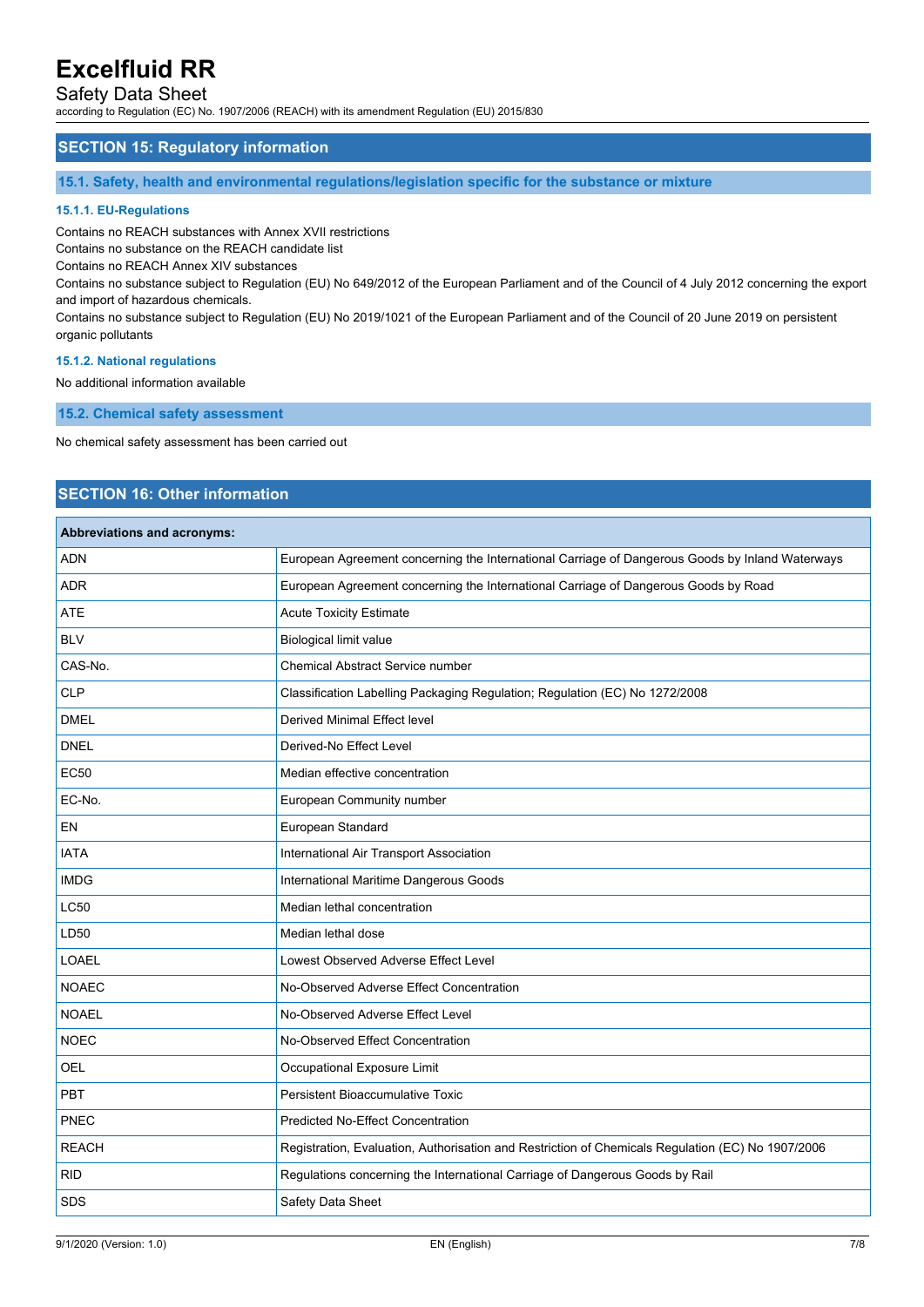# Safety Data Sheet

according to Regulation (EC) No. 1907/2006 (REACH) with its amendment Regulation (EU) 2015/830

## **SECTION 15: Regulatory information**

**15.1. Safety, health and environmental regulations/legislation specific for the substance or mixture**

#### **15.1.1. EU-Regulations**

Contains no REACH substances with Annex XVII restrictions

Contains no substance on the REACH candidate list

Contains no REACH Annex XIV substances

Contains no substance subject to Regulation (EU) No 649/2012 of the European Parliament and of the Council of 4 July 2012 concerning the export and import of hazardous chemicals.

Contains no substance subject to Regulation (EU) No 2019/1021 of the European Parliament and of the Council of 20 June 2019 on persistent organic pollutants

#### **15.1.2. National regulations**

No additional information available

**15.2. Chemical safety assessment**

No chemical safety assessment has been carried out

# **SECTION 16: Other information**

### **Abbreviations and acronyms:**

| ADN          | European Agreement concerning the International Carriage of Dangerous Goods by Inland Waterways   |
|--------------|---------------------------------------------------------------------------------------------------|
| <b>ADR</b>   | European Agreement concerning the International Carriage of Dangerous Goods by Road               |
| <b>ATE</b>   | <b>Acute Toxicity Estimate</b>                                                                    |
| <b>BLV</b>   | <b>Biological limit value</b>                                                                     |
| CAS-No.      | Chemical Abstract Service number                                                                  |
| <b>CLP</b>   | Classification Labelling Packaging Regulation; Regulation (EC) No 1272/2008                       |
| <b>DMEL</b>  | <b>Derived Minimal Effect level</b>                                                               |
| <b>DNEL</b>  | Derived-No Effect Level                                                                           |
| <b>EC50</b>  | Median effective concentration                                                                    |
| EC-No.       | European Community number                                                                         |
| <b>EN</b>    | European Standard                                                                                 |
| <b>IATA</b>  | International Air Transport Association                                                           |
| <b>IMDG</b>  | International Maritime Dangerous Goods                                                            |
| <b>LC50</b>  | Median lethal concentration                                                                       |
| LD50         | Median lethal dose                                                                                |
| <b>LOAEL</b> | Lowest Observed Adverse Effect Level                                                              |
| <b>NOAEC</b> | No-Observed Adverse Effect Concentration                                                          |
| <b>NOAEL</b> | No-Observed Adverse Effect Level                                                                  |
| <b>NOEC</b>  | No-Observed Effect Concentration                                                                  |
| <b>OEL</b>   | Occupational Exposure Limit                                                                       |
| <b>PBT</b>   | Persistent Bioaccumulative Toxic                                                                  |
| PNEC         | <b>Predicted No-Effect Concentration</b>                                                          |
| <b>REACH</b> | Registration, Evaluation, Authorisation and Restriction of Chemicals Regulation (EC) No 1907/2006 |
| <b>RID</b>   | Regulations concerning the International Carriage of Dangerous Goods by Rail                      |
| SDS          | Safety Data Sheet                                                                                 |
|              |                                                                                                   |